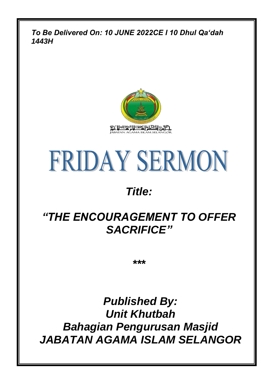*To Be Delivered On: 10 JUNE 2022CE l 10 Dhul Qa'dah 1443H*





## *Title:*

## *"THE ENCOURAGEMENT TO OFFER SACRIFICE"*

*\*\*\**

*Published By: Unit Khutbah Bahagian Pengurusan Masjid JABATAN AGAMA ISLAM SELANGOR*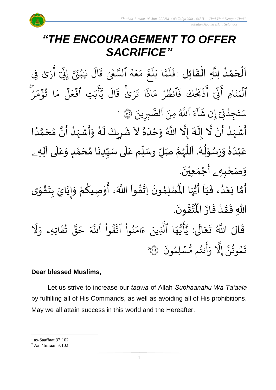# *"THE ENCOURAGEMENT TO OFFER SACRIFICE"*

.<br>با  $\frac{1}{2}$ اَلْحَمْدُ لِلَّهِ الْقَائِلِ : فَلَمَّا و<br>و ់<br>ត  $\overline{\phantom{a}}$ ֦֧֦֧֦֧֦֧֦֦֦֜֜֜֜֜֜֜֜<br>**֦֘**  $\overline{\phantom{a}}$  $\frac{1}{2}$ ֦֧֦֧֦֧֦֧֦֧֦֧֦֧֦֧֜֜֜֓֓<br>**֡** ت<br>ح ر<br>آ  $\mathcal{L}$  $\ddot{\cdot}$ فَلَمَّا بَلَغَ مَعَهُ و<br>لم  $\frac{1}{2}$ ع  $\frac{1}{2}$ ر<br>م  $\ddot{\cdot}$ غ ر<br>آ  $\uplambda$  $\tilde{\cdot}$ بَلَغَ مَعَهُ ٱلسَّعۡىَ قَالَ يَبۡنَىَّ إِنِّ أَرَىٰ فِى ر ِ<br>ج أ ب<br>أ ِدِ ِ<br>بِهِ م<sub>ُن</sub>َىّ إِنِّ و<br>' َٰ ِ ي .<br>آ ال  $\ddot{\cdot}$ ق ٱلۡمَنَامِ  $\ddot{\cdot}$ بر<br>ند  $\frac{1}{2}$ لمَنَامِ ہ<br>آ  $\ddot{\cdot}$ ي<br>بَحُكَ فَ و<br>م َب ذ  $\ddot{\cdot}$ ِ<br>ج أ ب<br>أ ِیما ِ<br>په نِی ِ<br>ج أَنِيٓ أَذَبَحُكَ فَانظُرۡ مَاذَا تَرَىٰ قَالَ يَابَتِ  $\ddot{\phantom{0}}$ و<br>م  $\tilde{\cdot}$ ب ِ<br>ج  $\overline{\phantom{a}}$ َ<br>د بد ر<br>1 ال  $\ddot{\mathbf{z}}$ ج<br>رَىٰ قَ ٰۚ  $\ddot{\mathbf{r}}$ ا ت  $\ddot{\cdot}$ اذ  $\frac{1}{2}$ مَاذَا تَرَىٰ قَالَ يَٰابَتِ افۡعَلَ ہ<br>1  $\frac{1}{2}$ فَعَلَ مَا تُؤْمَرُ  $\ddot{\cdot}$ ھ<br>و ِ<br>م م ؤ ا ت ہ<br>ء و<br>په ِ<br>م بر<br>م ्<br>द ء  $\tilde{1}$ ا  $\ddot{\cdot}$ جِدُنِيَّ إِن شَ إ ُ  $\ddot{\phantom{0}}$ ت ِ<br>په سَتَجِدُنِيٓ إِن شَاءَ ا ِ<br>آھ ن  $\ddot{\cdot}$ نَ الصَّبِرِي  $\ddot{\cdot}$ للَّهُ مِنَ ٱلصَّبِرِينَ ۞ 1 ِ<br>ر اَّشْہَدُ أَنْ لَّا إِلَهَ إِلَّا اللَّهُ وَحْدَهُ لاَ شَرِيكَ لَهُ وَأَشْہَدُ أَنَّ مُحَمَّدًا ْ  $\tilde{\mathbf{z}}$ الا<br>ا ំ<br>• سم<br>پنج و<br>ا ં<br>ત  $\tilde{\mathbf{r}}$  $\frac{1}{2}$ ا<br>ا ً<br>أ ل<br>م  $\frac{1}{\lambda}$ ا<br>م<br>•  $\sum_{i=1}^{n}$ ُ<br>ا ر<br>زن ْ  $\sum_{i=1}^{n}$  $\tilde{\cdot}$ ء<br>ا َ  $\overline{\phantom{a}}$  $\ddot{\phantom{0}}$ ं ۔<br>م ا<br>ا  $\tilde{\cdot}$  $\overline{\mathbf{1}}$ َ<br>آ  $\tilde{\mathbf{i}}$ سنة<br>ا ً<br>آ ر<br>م

عَبْدُهُ وَرَسُوْلُهُ. اَللَّهُمَّ صَلِّ وسَلِّم عَلَى سَيِّدِنَا مُحَمَّدٍ وَعَلَى آلِه<sub>ِ ــُ</sub> ِ<br>م  $\tilde{\cdot}$ <u>لم</u> لة<br>م ๋<br>ጎ  $\ddot{\phantom{0}}$  $\frac{1}{1}$ .<br>م لة<br>م ر<br>ر<br>ر ر<br>د<br>ام י<br>י ر<br>در  $\ddot{\phantom{0}}$  $\tilde{\cdot}$  $\frac{2}{\lambda}$ و<br>ا ْ ِ<br>م و*َص<sub>َ</sub>حْبِهِ <sub>ۦ</sub> أَجْمَعِيْنَ.* ْ  $\ddot{\phantom{0}}$ ់<br>(  $\tilde{a}$  $\frac{1}{2}$ 

- سَبِّرَ ـ سَبَّا أَيُّهَا الْمُسْلِمُونَ<br>أَمَّا بَعْدُ، فَيَا أَيُّهَا الْمُسْلِمُونَ  $\frac{1}{1}$  $\ddot{\cdot}$ ُ<br>و ំ<br>រ  $\ddot{\cdot}$ لة<br>م ِ<br>پنج  $\ddot{\phantom{0}}$ ›<br>ለ أَيُّهَا الْمُسْلِمُونَ اِتَّقُواْ اللَّهَ، أُوْصِيكُمْ وَإِيَّايَ بِتَقْوَى ِ<br>پاس <sup>ب</sup>ُر<br>•  $\sum_{i=1}^{n}$ ا<br>به<br>:  $\tilde{\phantom{a}}$ ֦֧<u>֝</u>  $\ddot{\phantom{0}}$  $\ddot{\cdot}$ ا<br>ا !<br>-<br>- $\tilde{\cdot}$ ر<br>مخ ֦֧֦֧֦ **ہے**<br>'' ֦֧֦֧֦֧֦֧֦֧֦֧֦֜֓֟ **ٍ** .  $\ddot{\phantom{0}}$ ؾڤۏڹؘ  $\frac{9}{4}$ ا<br>ایر<br>جو ہ<br>ا اللّٰهِ فَقَدْ فَازَ الْمُ  $\ddot{\cdot}$  $\frac{1}{2}$ ْ  $\frac{1}{2}$  $\frac{1}{2}$ ِ<br>الج  $\frac{1}{2}$  $\ddot{\phantom{0}}$  $\ddot{\mathbf{r}}$ ر<br>1 ْ بِ <u>ہ</u><br>ا یہ<br>۱ -<br>ج
- قَالَ اللَّهُ تَعَالَى: َل  $\frac{1}{\alpha}$ اتِهِۦ و  $\ddot{\mathbf{r}}$ ق ت ور ِ<br>په قة  $\overline{\phantom{a}}$ ح ہ<br>آک قُوا اللَّهَ ور ِ<br>په نُوا اڌّ ُ ِ<br>م ام ر<br>ء ء ِينَ ا الَّذِ ِ<br>م ه و<br>د سَ<br>ڊ  $\overline{\phantom{a}}$ ِ<br>د بد  $\ddot{\cdot}$ سُلِمُونَ و  $\ddot{\phantom{0}}$ و<br>م نتُم مَّ و<br>په ِ<br>ج أ ِ<br>م و ىد<br>أ َِل إ ِ<br>په تَمُوثُنَّ إِلَّا وَأَنتُم مُّسۡلِمُونَ ۞ و<br>په و<br>م 2

## **Dear blessed Muslims,**

Let us strive to increase our *taqwa* of Allah *Subhaanahu Wa Ta'aala* by fulfilling all of His Commands, as well as avoiding all of His prohibitions. May we all attain success in this world and the Hereafter.

<sup>1</sup> as-Saaffaat 37:102

<sup>2</sup> Aal 'Imraan 3:102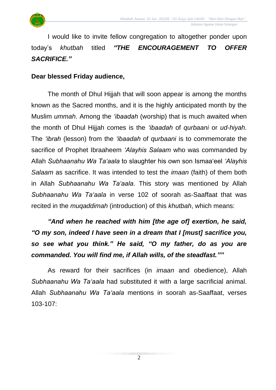

I would like to invite fellow congregation to altogether ponder upon today's *khutbah* titled *"THE ENCOURAGEMENT TO OFFER SACRIFICE."*

## **Dear blessed Friday audience,**

The month of Dhul Hijjah that will soon appear is among the months known as the Sacred months, and it is the highly anticipated month by the Muslim *ummah*. Among the *'ibaadah* (worship) that is much awaited when the month of Dhul Hijjah comes is the *'ibaadah* of *qurbaani* or *ud-hiyah*. The *'ibrah* (lesson) from the *'ibaadah* of *qurbaani* is to commemorate the sacrifice of Prophet Ibraaheem *'Alayhis Salaam* who was commanded by Allah *Subhaanahu Wa Ta'aala* to slaughter his own son Ismaa'eel *'Alayhis Salaam* as sacrifice. It was intended to test the *imaan* (faith) of them both in Allah *Subhaanahu Wa Ta'aala*. This story was mentioned by Allah *Subhaanahu Wa Ta'aala* in verse 102 of soorah as-Saaffaat that was recited in the *muqaddimah* (introduction) of this *khutbah*, which means:

*"And when he reached with him [the age of] exertion, he said, "O my son, indeed I have seen in a dream that I [must] sacrifice you, so see what you think." He said, "O my father, do as you are commanded. You will find me, if Allah wills, of the steadfast.""*

As reward for their sacrifices (in *imaan* and obedience), Allah *Subhaanahu Wa Ta'aala* had substituted it with a large sacrificial animal. Allah *Subhaanahu Wa Ta'aala* mentions in soorah as-Saaffaat, verses 103-107: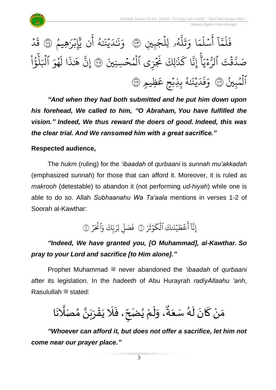



*"And when they had both submitted and he put him down upon his forehead, We called to him, "O Abraham, You have fulfilled the vision." Indeed, We thus reward the doers of good. Indeed, this was the clear trial. And We ransomed him with a great sacrifice."*

## **Respected audience,**

The *hukm* (ruling) for the *'ibaadah* of *qurbaani* is *sunnah mu'akkadah* (emphasized *sunnah*) for those that can afford it. Moreover, it is ruled as *makrooh* (detestable) to abandon it (not performing *ud-hiyah*) while one is able to do so. Allah *Subhaanahu Wa Ta'aala* mentions in verses 1-2 of Soorah al-Kawthar:

> $\tilde{1}$ ا ِ<br>بنه إِنَّآ أَعۡطَیۡنَكَ **عُطَيْنَ** ؚ<br>ۣ  $\frac{1}{2}$ ِ<br>ج أَعۡطَيۡنَكَ ٱلۡكَوۡثَرَ ় ث و ؚ<br>ٛ ر<br>ح لْكَوْثَرَ ۞ فَصَلِّ لِرَبِّكَ وَٰ ہ<br>آ ب َ لِر ِ ِ<br>آ ء<br>فَصَلِّ فَصَلِّ لِرَبَّكَ وَالْحَرْ  $\ddot{\phantom{0}}$ َ ै<br>: نحَرُ ۞

## *"Indeed, We have granted you, [O Muhammad], al-Kawthar. So pray to your Lord and sacrifice [to Him alone]."*

Prophet Muhammad  $\equiv$  never abandoned the *'ibaadah* of *qurbaani* after its legislation. In the *hadeeth* of Abu Hurayrah *radiyAllaahu 'anh*, Rasulullah <sup>26</sup> stated:

ا َ ن ا َل صَ ُ م ا ن َ ب َ ر ْ ق َ ي َ َل َ ،ف ح ُضَ ي ْ م َ ل َ ،و ٌ ة َ ع سَ ُ ه َ ل َ ان َ ك ْ ن َ م

*"Whoever can afford it, but does not offer a sacrifice, let him not come near our prayer place."*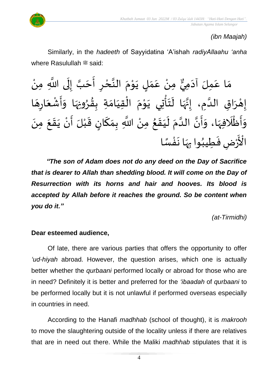

## *(ibn Maajah)*

Similarly, in the *hadeeth* of Sayyidatina 'A'ishah *radiyAllaahu 'anha* where Rasulullah <sup>22</sup> said:

۫<br>ٔ ِّ إِلَى اللَّهِ مِنْ  $\ddot{\phantom{0}}$ ل  $\frac{1}{2}$ ن<br>مَ ا مِنْ عَمَلٍ يَوْمَ النَّحْرِ أَحَ  $\frac{1}{2}$  $\sum$ ْ ا<br>په  $\frac{1}{2}$ י<br>י  $\ddot{\phantom{0}}$ <u>|</u>  $\frac{1}{2}$ .<br>م ំ<br>• و<br>ٍ مَا عَمِلَ آدَمِيٌّ  $\sim$ .<br>م  $\frac{1}{2}$ .<br>زر إِهْرَاقِ الدَّمِ، إِنَّهَا لَتَأْتِي يَوْمَ الْقِيَامَةِ بِقُرُونِهَا وَأَشْعَارِهَا **بر**<br>پ  $\frac{9}{4}$  $\frac{1}{2}$  $\frac{1}{1}$ ֚֘<br>֚֘  $\frac{1}{2}$ ْ<br>م  $\ddot{\phantom{0}}$ ْ  $\ddot{\phantom{0}}$  $\frac{1}{\epsilon}$ ِ<br>اس لة<br>,  $\frac{1}{2}$  $\ddot{\phantom{0}}$ ا<br>ما  $\frac{1}{2}$ ؗ<br>ۣ  $\overline{\phantom{a}}$  $\ddot{\phantom{0}}$ ْ  $\frac{1}{2}$  $\tilde{\cdot}$ <u>د</u><br>-ءِ<br>وَأَظْلَافِهَا، وَأَنَّ الدَّمَ لَيَقَعُ مِنْ اللَّهِ بِمَكَانٍ قَبْلَ أَنْ يَقَعَ مِنَ ֡֡<u>֓</u> ُ َ َ  $\tilde{\mathbf{r}}$  $\frac{1}{2}$ اتا<br>ا ت<br>• ا<br>-<br>- $\frac{1}{2}$  $\frac{1}{2}$ َ<br>اس ٔ<br>م  $\frac{1}{2}$  $\tilde{ }$  $\ddot{\phantom{0}}$  $\ddot{\phantom{0}}$  $\frac{1}{2}$  $\ddot{\phantom{0}}$ ْ ِ<br>پ ْ  $\frac{1}{2}$ ر<br>! ٔ<br>سا  $\frac{1}{2}$ رُضِ فَطِيبُوا بِهَا نَفْسًا ً<br>بر<br>س י<br>נ  $\ddot{\phantom{0}}$  $\frac{1}{2}$  $\ddot{\cdot}$ ُ  $\frac{1}{2}$ ْ<br>ْ .<br>وَ عَ<br>م الْأَ

*"The son of Adam does not do any deed on the Day of Sacrifice that is dearer to Allah than shedding blood. It will come on the Day of Resurrection with its horns and hair and hooves. Its blood is accepted by Allah before it reaches the ground. So be content when you do it."*

*(at-Tirmidhi)*

### **Dear esteemed audience,**

Of late, there are various parties that offers the opportunity to offer *'ud-hiyah* abroad. However, the question arises, which one is actually better whether the *qurbaani* performed locally or abroad for those who are in need? Definitely it is better and preferred for the *'ibaadah* of *qurbaani* to be performed locally but it is not unlawful if performed overseas especially in countries in need.

According to the Hanafi *madhhab* (school of thought), it is *makrooh* to move the slaughtering outside of the locality unless if there are relatives that are in need out there. While the Maliki *madhhab* stipulates that it is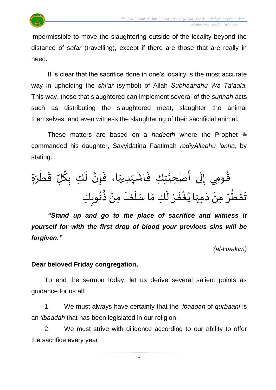

It is clear that the sacrifice done in one's locality is the most accurate way in upholding the *shi'ar* (symbol) of Allah *Subhaanahu Wa Ta'aala*. This way, those that slaughtered can implement several of the *sunnah* acts such as distributing the slaughtered meat, slaughter the animal themselves, and even witness the slaughtering of their sacrificial animal.

These matters are based on a *hadeeth* where the Prophet <sup>®</sup> commanded his daughter, Sayyidatina Faatimah *radiyAllaahu 'anha*, by stating:

ْ ط َ ق ل ُ ك ك ب َ ل ا ن إ َ ا، ف َ ديه َ ه ْ اش َ ك ف ت ا حي ضْ ُ ى أ َ ل و مي إ ُ ة ٍ ق َ ر ا َ مه َ د ْ من ُ ر ُ ط ْ ق َ ت ْ ر َ ف ْ غ ُ ي ا َ كم َ ل فَ َ ل س ك َ وب ُ ن ُ ذ ْ من

*"Stand up and go to the place of sacrifice and witness it yourself for with the first drop of blood your previous sins will be forgiven."*

*(al-Haakim)*

### **Dear beloved Friday congregation,**

To end the sermon today, let us derive several salient points as guidance for us all:

1. We must always have certainty that the *'ibaadah* of *qurbaani* is an *'ibaadah* that has been legislated in our religion.

2. We must strive with diligence according to our ability to offer the sacrifice every year.

5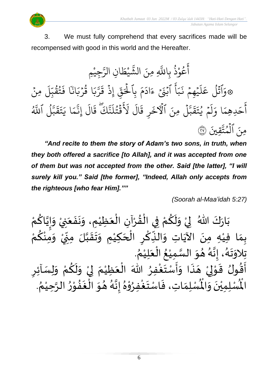3. We must fully comprehend that every sacrifices made will be recompensed with good in this world and the Hereafter.

جِيْمِ ْ ِ<br>سَ ِن الر ا  $\tilde{\xi}$ يْط ْ لن<br>مه لَّهِ مِنَ الشَّ عُوْذُ بِاللَّهِ و<br>په **ٔ** و<br>م ِ<br>ج أ َ<br>م 9 وَاتَلَ ءِ<br>ا  $\ddot{\ddot{\cdot}}$ َ<br>ع أ ِ ب  $\ddot{\cdot}$ يۡهِمۡ نَـ  $\frac{1}{2}$  $\ddot{\phantom{0}}$ ر<br>آ  $\mathcal{L}$ ِ<br>م ہ<br>م عَلَيۡهِمۡ نَبَأَ ٱبۡنَیۡ ءَادَمَ بِ ة<br>ا  $\frac{1}{2}$ م  $\tilde{\cdot}$ اد  $\tilde{\epsilon}$ ءَادَمَ بِالْحَقِّ ِ<br>په ق ِ<br>د ہ<br>\<br>\ لْحَقِّ إِذَ قَرَّبَا قَرْبَانَا فَتُقَبِّلَ مِنْ <u>ء</u> ر<br>آ ِ<br>ل ِ<br>س دي<br>تقدِ و<br>پيد و<br>په  $\ddot{\cdot}$ ا ف ٗ ان  $\tilde{\cdot}$ ب ر ا ق  $\ddot{\phantom{0}}$ ور  $\tilde{\cdot}$ بر<br>ب ِ<br>سَ ت<br>گر  $\ddot{\cdot}$ إِذْ قُ  $\ddot{\cdot}$ ِمنَ ل ہ<br>1 ىر<br>، بت<br>ج  $\frac{1}{2}$ ق  $\ddot{\phantom{0}}$ مْ يْتَـ و<br>د  $\frac{1}{2}$ .<br>م أ ل ا و  $\frac{1}{2}$ ِدهِم  $\tilde{\phantom{a}}$ ح ِ<br>ج أَحَدِهِمَا وَلَمْ يُتَقَبَّلَ مِنَ الْأَخَرِ  $\ddot{\cdot}$ لَأْخَرِ قَالَ لَاقَتُلَنَّكَ قَالَ إِنَّمَا يَتَقَبَّلُ و<br>ا ىر<br>، بت<br>ج  $\ddot{\tilde{}}$ ق  $\tilde{\mathbf{z}}$ ت  $\tilde{\cdot}$ ا ي  $\frac{1}{2}$ م ب<br>ج ِن إ .<br>آ ال  $\ddot{\phantom{0}}$ ِ<br>تَّلَّٰىَ قَ نة<br>م ر<br>آ ل ت ق و<br>به  $\frac{2}{3}$ ر<br>آگ َل .<br>آ ال  $\ddot{\cdot}$ قَالَ لَاقَتُلَنَّكَ قَالَ إِنَّمَا يَتَقَبَّلُ ا ِ<br>پرو<br>الم للَّهُ  $\ddot{\cdot}$ مِنَ ٱلۡمُتَّقِينَ ہ<br>ا ل ُمتَّقِينَ ۞

*"And recite to them the story of Adam's two sons, in truth, when they both offered a sacrifice [to Allah], and it was accepted from one of them but was not accepted from the other. Said [the latter], "I will surely kill you." Said [the former], "Indeed, Allah only accepts from the righteous [who fear Him].""*

*(Soorah al-Maa'idah 5:27)*

ْ بَارَكَ اللّهُ ۖ لِيْ وَلَكُمْ فِي الْقُرْآنِ الْعَظِيْمِ، وَنَفَعَنِيْ وَإِيَّاكُ َ  $\ddot{\phantom{0}}$  $\ddot{\phantom{0}}$  $\tilde{\cdot}$ ْ َ ْ ْ  $\frac{9}{4}$ ֦֧֦֧֦֧֦֧֦֧֦֧֦֧֦֦֦֦֦֦֦֦֦֜֜֜֓֓֓֜֜֜֜֜֟֓<br>**֡** ْ <u>و</u>  $\tilde{\mathbf{r}}$  $\frac{1}{2}$ ំ<br>,  $\frac{1}{2}$  $\frac{1}{2}$ ْ م <u>ل</u>و ن<br>ا !<br>-<br>- $\tilde{\cdot}$ ْ .<br>بِمَا فِيْهِ مِنَ الآيَاتِ وَالذِّكْرِ الْحَكِيْمِ وَتَقَبَّلَ مِنِّيْ وَمِنْكُمْ ر<br>ج ֫**֚**  $\tilde{\cdot}$ .<br>` -<br>-<br>•  $\sum$ ن<br>ا ا<br>:  $\frac{1}{2}$ ..<br>^ ់<br>រ َ ֦֧֦֦֝֝<br>֧֝֜֜<sup>֓</sup>֓֝  $\overline{\phantom{a}}$ ؚ<br>م  $\ddot{\bullet}$  $\frac{1}{2}$ ِ<br>نہ  $\ddot{\phantom{0}}$ ْ<br>ْ  $\frac{1}{2}$ . ़<br>१ تِلاوَتَهُ، إِنَّهُ هُوَ السَّمِيْعُ الْعَلِيْمُ ْ بہ<br>م ۔<br>أ ′<br>ይ ំ<br>រ ا<br>ما  $\frac{1}{2}$  $\frac{1}{2}$ بر<br>ر<br>ا بة<br>•  $\frac{1}{2}$ -<br>د<br>ا  $\ddot{\phantom{0}}$  $\frac{1}{2}$  $\sum$ - ركن موسى السَّمَوْرُ اللهَ الْعَظِيْمَ لِيْ وَلَكُمْ وَلِسَاْئِرِ<br>أَقُولُ قَوْلِيْ هَذَا وَأَسْتَغْفِرُ اللهَ الْعَظِيْمَ لِيْ وَلَكُمْ وَلِسَاْئِرِ  $\frac{1}{2}$ ْ <u>و</u>  $\tilde{\mathbf{r}}$  $\frac{1}{2}$ ْ إ  $\frac{1}{2}$ ْ َ ْ ∫<br>∕ ا<br>و  $\frac{1}{2}$  $\frac{1}{2}$  $\frac{1}{2}$  $\frac{1}{2}$ ∕<br>-<br>▲ ់<br>, لمح ֦֦֝֝<br>֝**֝**  $\frac{1}{2}$ اء<br>پيد د<br>ج  $\frac{1}{2}$ ھدا<br>لْمُسْلِمَ دوں دويي .<br>لْمُسْلِمِيْنَ وَالْمُ  $\frac{1}{2}$ ∕<br>-<br>◆ ់<br>( رت ربي<br>الْمُسْلِمِيْنَ وَالْمُسْلِمَاتِ، فَاسْتَغْفِرُوْهُ إِنَّهُ هُوَ الْغَفُوْرُ الرَّحِيْمُ. ُ ْ ا<br>تار  $\frac{1}{2}$ ֦֧֦֝<br>**֝** لا<br>ڊ  $\ddot{\phantom{0}}$ **ٔ** ا<br>-<br>^ --<br>م'م —<br>}<br>|<br>| ا<br>اللہ<br>•  $\frac{1}{2}$  $^{\circ}$ ֦֧֦֧֦  $\frac{1}{2}$ ْ<br>ْ  $\frac{1}{2}$  $\frac{1}{2}$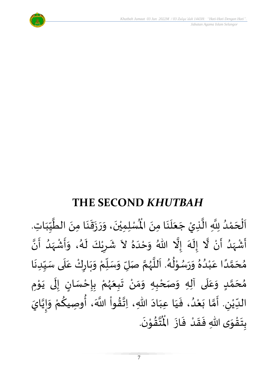



# **THE SECOND** *KHUTBAH*

و<br>ا اَلْحَمْدُ لِلَّهِ الَّذِيْ جَعَلَنَا مِنَ الْمُمْلِمِيْنَ، وَرَزَقَنَا مِنَ الطَّيِّبَاتِ ់<br>?  $\overline{\phantom{a}}$ ֦֧֦֧֦֧֦֧֦֦֦֜֜֜֜֜֜֜֜֜<br>**֦֘**  $\overline{\phantom{a}}$  $\frac{1}{1}$ しんこ  $\frac{1}{2}$ ا<br>ا  $\ddot{\phantom{0}}$  $\ddot{\phantom{0}}$  $\frac{1}{2}$  $\ddot{\phantom{0}}$  $\frac{1}{2}$  $\tilde{\cdot}$  $\ddot{\phantom{0}}$ ٝ<br>۠ لِلَّهِ الَّذِيْ جَعَلَنَا مِنَ الْمُسْلِمِيْنَ، وَرَزَقَنَا مِنَ الطَّيِّبَاتِ.  $\ddot{\phantom{0}}$  $\ddot{\phantom{0}}$  $\overline{\mathbf{a}}$ َ  $\overline{\phantom{a}}$ ا<br>ا انہ<br>ا ا<br>ا أَشْهَدُ أَنْ لَّا إِلَهَ إِلَّا اللّهُ وَحْدَهُ لاَ شَرِيْكَ لَهُ، وَأَشْهَدُ أَنَّ ْ  $\frac{1}{2}$ و<br>ا ر<br>زن ْ ِ<br>پ ا<br>ا ۔<br>م  $\tilde{\cdot}$  $\frac{1}{2}$ ्<br>ब  $\frac{1}{2}$ َ<br>ا  $\tilde{\cdot}$ ر<br>گ  $\tilde{\mathbf{r}}$ ំ<br>•  $\overline{\phantom{a}}$  $\frac{1}{2}$ ا<br>به<br>• -<br>:<br>: م<br>م  $\frac{1}{2}$ ْ  $\frac{1}{2}$  $\tilde{\cdot}$ مُحَمَّدًا عَبْدُهُ وَرَسُوْلُهُ. اَللَّهُمَّ صَلِّ وَسَلِّمْ وَبَارِكْ عَلَى سَيِّدِنَا  $\ddot{\phantom{0}}$  $\frac{1}{1}$ しんこ ۔<br>آ  $\frac{1}{2}$ ْ  $\ddot{\phantom{0}}$  $\tilde{\cdot}$ ْ  $\frac{1}{\sqrt{2}}$  $\frac{1}{2}$  $\tilde{\cdot}$ ن<br>م ر<br>ر<br>ر ا<br>ا َ و<br>گ  $\frac{1}{\epsilon}$ ֦֧֦֝<br>**֧** و<br>م  $\ddot{\phantom{0}}$  $\tilde{\cdot}$  $^{\circ}$ و<br>و ْ ِ<br>م ً<br>أ ت<br>م  $\overline{\phantom{a}}$  $\frac{1}{2}$ مُحَمَّدٍ وَعَلَى آلِهِ وَصَحْبِهِ وَمَنْ تَبِعَهُمْ بِإِحْسَانٍ إِلَى يَوْمِ <u>ل</u> ت<br>م  $\overline{\phantom{a}}$  $\frac{1}{2}$  $\mathbf{r}$ ً<br>م  $\tilde{\cdot}$ י<br>י ا<br>با<br>•  $\ddot{\phantom{0}}$ ل  $\frac{1}{2}$ ر<br>! ْ <u>د</u><br>-ْ ر<br>ر<br>ر  $\frac{1}{2}$  $\frac{1}{2}$ ْ  $\frac{1}{2}$ ์ $\frac{1}{2}$ ْ الدِّيْنِ. أَمَّا بَعْدُ، فَيَا عِبَادَ اللّهِ، اِتَّقُواْ اللَّهَ، أُوصِيكُمْ وَإِيَّايَ ُ<br>پاد ٔ<br>ا ′<br>مو ن<br>\*  $\sim$  $\frac{1}{1}$ َ  $\frac{1}{2}$ ٍ<br>'' ْ  $\ddot{\ }$ ت<br>م  $\frac{1}{2}$ ليا ْ  $\frac{1}{\sqrt{2}}$ اتا<br>م |<br>-<br>-<br>- $\tilde{\cdot}$ ِ<br>ْ <u>ل</u> .  $\ddot{\phantom{0}}$ تقوْنَ ْ  $\frac{9}{4}$ ا<br>استقطا<br>جوا ُ<br>مو بِتَقْوَى اللهِ فَقَدْ فَازَ الْمُ  $\ddot{\phantom{0}}$  $\frac{1}{2}$ ْ  $\frac{1}{2}$  $\frac{1}{2}$  $\frac{1}{2}$ ّ<br>مو  $\ddot{\ }$  $\ddot{\cdot}$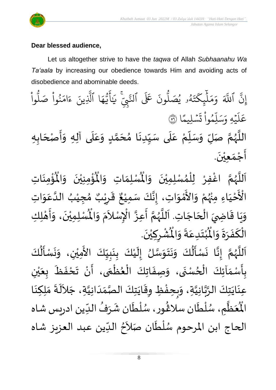

#### **Dear blessed audience,**

Let us altogether strive to have the *taqwa* of Allah *Subhaanahu Wa Ta'aala* by increasing our obedience towards Him and avoiding acts of disobedience and abominable deeds.

ِ<br>په ِن ٱ إ ہے<br>آکھ للَّهَ وَمَلْيِكْتَهُ و<br>لھ  $\ddot{\phantom{0}}$ ت ر<br>م چکے<br>غ ہر<br>ا  $\uplambda$  $\frac{1}{2}$ بر<br>م  $\frac{1}{c}$ وَمَلَّيٖكَتَهُۥ يُصَلُّونَ عَلَى ون و<br>ا يُصَلُّونَ عَلَى ٱلنَّبِيِّ و<br>د لنَّبِّيّ يَايَّهَا ِ<br>م ه و<br>د سَ<br>ڊ ِ<br>ج  $\sqrt{2}$ َٰ ِ<br>بر يَاًيُّهَا ٱلَّذِينَ یہ<br>۱ لَّذِينَ ءَامَنُوا صَلُوا ْ و<br>ا نُواْ صَلُّ <u>ہ</u><br>ا ُو ر<br>م ام  $\tilde{\epsilon}$ ء ا  $\frac{2}{3}$ ن*ش*ليمً  $\ddot{\phantom{0}}$  $\ddot{\Omega}$ ت ْ وا ِم و<br>م ِ<br>آ ل ِ<br>م بر<br>سد ِ<br>م يَّهِ وَ<sub>َ</sub>  $\ddot{\phantom{0}}$ ر<br>آ عَلَيْهِ وَسَلِّمُواْ تَسْلِيمًا ۞ اللَّهُمَّ صَلِّ وَسَلِّمْ عَلَى سَيِّدِنَا مُحَمَّدٍ وَعَلَى آلِهِ وَأَصْحَابِهِ <u>لم</u> ت<br>م  $\overline{\phantom{a}}$ )<br>ጎ  $\ddot{\phantom{0}}$  $\frac{1}{1}$ ِ<br>أ .<br>م ْ ر.<br>ا  $\overline{r}$  $\frac{1}{2}$ ا<br>المح و<br>ر ا<br>آ  $\frac{1}{2}$  $\frac{1}{1}$  $\frac{1}{2}$  $\tilde{\cdot}$  $\overline{\phantom{a}}$  $\frac{1}{2}$  $\ddot{\phantom{0}}$ أَجْمَع<u>ي</u>ُنَ. ់<br>**រ**  $\frac{1}{2}$ ֦֧֦֧<u>֦</u>  $\frac{1}{2}$ 

ٱللَّهُمَّ اغْفِرْ لِلْمُسْلِمِيْنَ وَالْمُسْلِمَاتِ وَالْمُؤْمِنِيْنَ وَالْمُؤْمِنَاتِ ِّ<br>و ن<br>م ر<br>ر<br>ر ا<br>آ ً<br>آ  $\ddot{\phantom{0}}$ ْ<br>باللہ ُْ ُؤْمِنِيْنَ ۖ وَالْمُ  $\tilde{\cdot}$  $\ddot{\phantom{0}}$ ْ ْ<br>بِ  $\mathbf{r}^{\circ}$ ِ<br>لْمُسْلِمَاتِ وَالْمُ  $\tilde{\cdot}$  $\frac{1}{2}$ رْ لِلْمُسْلِمِيْنَ وَالْمُ  $\tilde{\cdot}$  $\ddot{\phantom{0}}$ ់<br>**រ** ๋<br>ል ֦֧֦֧֦֧֦֧֦֧֦֧֦֧֦֧֦֧֦֧֜֜֓֓֟֓<br>֧֜֜֜֜֜֜֜֜֜֜֜֜ ـــ<br>م<br>م الْأَحْيَاءِ مِنْهُمْ وَالأَمْوَاتِ، إِنَّكَ سَمِيْعٌ قَرِيْبٌ مُجِيْبُ الدَّعَوَاتِ َ ֦֧֦֧֦֧<u>֦</u> ْ او<br>زړ ْ  $\frac{1}{2}$ י<br>ה ں<br>ج  $\frac{1}{2}$ ِ<br>م ان<br>ا ُ ٝ<br>ْ  $\frac{1}{2}$ ه<br>فيا قَرِرْ  $\overline{\phantom{a}}$  $\ddot{\ddot{\cdot}}$ ٌ ، إِنَّكَ سَمِيْعٌ ْ ن<br>•<br>•  $\frac{1}{2}$ وَيَا قَاضِيَ الْحَاجَاتِ. اَللَّهُمَّ أَعِزَّ الْإِسْلاَمَ وَ  $\overline{\phantom{a}}$ ֦֧֦֧֦֧֦֧֦֧֦֧֦֧֦֧֟֓֓<br>**֧**  $\overline{a}$ ์<br>:<br>:  $\ddot{\ }$  $\frac{1}{2}$ ا<br>أ ا<br>آ و<br>ر<br>ر ن<br>م  $\frac{1}{2}$ ا<br>به ّٰ<br>أ  $\tilde{\phantom{a}}$ بر<br>م  $\tilde{\cdot}$  $\ddot{\text{h}}$ الْمُسْلِمِيْنَ، وَأَهْلِكِ َ<br>م ْ ه<br>1  $\ddot{\phantom{0}}$  $\overline{1}$ י<br>**י** ا<br>با  $\tilde{\cdot}$  $\frac{1}{2}$ الْكَفَرَةَ وَالْمُبْتَدِعَةَ وَالْمُشْرِكِيْنَ.  $\frac{1}{2}$ َ بـــ<br>أ  $\ddot{\phantom{0}}$ ا<br>ا  $\overline{\phantom{a}}$ ْ  $\ddot{\text{r}}$ ُبْتَدِعَةً وَالْمُ  $\frac{1}{2}$  $\frac{1}{2}$ .<br>م  $\ddot{\ }$ ْ  $\mathbf{r}$ ةَ وَالْمُ  $\frac{1}{2}$  $\frac{1}{2}$ 

ِ<br>اَللَّهُمَّ إِنَّا نَسْأَلُكَ وَنَتَوَسَّلُ إِلَيْكَ بِنَبِيِّكَ الأَمِيْنِ، وَنَسْأَلُكَ  $\frac{1}{1}$ しんこ <u>لم</u><br>:  $\ddot{\phantom{0}}$ <u>د</u><br>: ْ  $\tilde{\mathbf{r}}$  $\frac{1}{2}$ سه<br>مذا  $\frac{1}{2}$  $\ddot{\phantom{0}}$  $\ddot{\phantom{0}}$  $\tilde{\cdot}$ ُمُ<br>اُ∱ -<br>ئى  $\ddot{\phantom{0}}$ انا  $\frac{1}{2}$ ن<br>م ر<br>ر<br>ر ا<br>آ ً<br>آ َ<br>ج ر<br>پا  $\ddot{\phantom{0}}$  $\ddot{\phantom{0}}$  $\tilde{\cdot}$ ْ  $\ddot{\phantom{0}}$ .<br>بِأَسْمَاَئِكَ الْحُسْنَى، وَصِفَاتِكَ الْعُظُمَى، أَنْ تَحْفَظَ بِعَيْنِ ٍ<br>ِ ֦֧֦֧֦֧֦֧֦֧֦֧֦֧֦֜֜֜֓֓֟֓֟֓֟֓֟֓֟֓֟֓<br>֧֜֜֜֜**֓**  $\frac{1}{2}$  $\frac{1}{2}$ <u>د</u><br>: ر<br>م ֦֧֦֧֦֧֦֧֦֧֦֧֦֧֦֧֦֧֦֧֦֧֟֓֓֓<br>**֧**  $\frac{1}{2}$ ֦֧֦֧֦֧֦֧֦֧֦֜֜֜֜֓֓֟֓<br>֧ׅׅׅ֛֝֜֜֜֜֜֜֜֜֜֜֝֜֜֜֝֜֜  $\ddot{\cdot}$  $\frac{1}{2}$ ْ ي  $\frac{1}{2}$  $\frac{1}{\sqrt{2}}$  $\ddot{\cdot}$  $\frac{1}{2}$ ْ  $\sum_{i=1}^{n}$ ر<br>عِنَايَتِكَ الرَّبَّانِيَّةِ، وَبِحِفْظِ وِقَايَتِكَ الصَّمَدَانِيَّةِ، جَلاَلَةَ مَلِكِنَا ان<br>ا ن<br>ما<br>۱ انہ<br>م  $\ddot{\phantom{0}}$  $\ddot{\phantom{0}}$  $\ddot{\phantom{0}}$  $\frac{1}{2}$ ້<br>:  $\frac{1}{2}$  $\frac{1}{2}$  $\sim$ ان<br>ا  $\frac{1}{1}$  $\frac{1}{\lambda}$ اتا<br>مر  $\ddot{\cdot}$ ِ<br>ا  $\ddot{\phantom{0}}$  $\frac{1}{2}$  م ظ ع ر<br>آباد  $\overline{\phantom{a}}$ ر<br>مو الْمُعَظَّمِ، سُلْطَان سلاغُور، سُلْطَان شَرَفُ الدِّين ادريس شاه ر<br>م ر<br>أ ر<br>م }<br>፟**፟**  $\frac{1}{\sqrt{2}}$ ُ  $\mathbf{r}$ ر<br>م ْ ر<br>م ।<br>र الحاج ابن المرحوم سُلْطَان صَلاَحُ الدِّين عبد العزيز شاه ۔<br>ا ا<br>أ و<br>ر  $\frac{1}{\sqrt{2}}$ ُ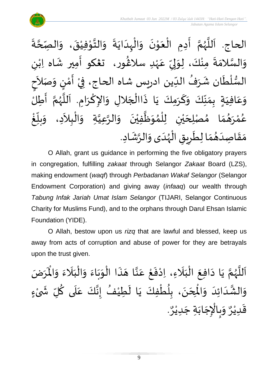

 $\ddot{\cdot}$ الحاج. اَللَّهُمَّ أَدِمِ الْعَوْنَ وَالْبِدَايَةَ وَالتَّوْفِيْقَ، وَالصِّحَّةَ ة<br>م  $\frac{1}{2}$  $\ddot{\phantom{0}}$ ْ ֦֧֦֦֦֦֦֦֦֦֦֦֦֦֦֧֦֧֦֧֦֧֦֧֦֧֦֝֝֟֓֟֓֟֓֟֓֟֓֟ الله  $\frac{1}{2}$  $\ddot{\phantom{0}}$  $\ddot{\phantom{0}}$  $\frac{1}{1}$ ֦֧֦֧֦֧֦֧֦֧֦֜֜֜֓֓֟֓<br>֧ׅׅׅ֝֜֜֜֜֜֜֜֜֜֜֜֜֝֜֜֝֜֜֬֟  $\frac{1}{2}$  $\ddot{\phantom{0}}$ י<br>י  $\frac{1}{2}$ ْ  $\ddot{\phantom{0}}$  $\frac{1}{2}$ انہ<br>پی و<br>ر<br>ر ا<br>آ َ  $\frac{1}{2}$ ى<br>وَالسَّلامَةَ مِنْكَ، لِوَلِيِّ عَهْدِ سلاڠُور، تڠكو أَمِير شَاه اِبْنِ ا<br>ما  $\frac{1}{2}$ ٝ<br>; .<br>م  $\frac{\nu}{\nu}$  $\frac{1}{2}$ ل  $\frac{1}{2}$ ْ  $\ddot{ }$ }<br>፟**፟** ٝ<br>ؙ  $\frac{1}{2}$ ֪֪֪֪֪֪֪֪֪֝֝֝֟֝֟֝֟֝֟֝֟֝֟֝֝֝֝֝֝֝֝֟֝֟֝<br>֧֪֪֪֪֪֪֪֪֪֪֝֟֝֟֝֟֝֟֝֟֝֟֝֟֝֟֝֟֝֟֝֟֝֟֝֟֝֝֝֝֝֝֝֝<br>֧֧֧֪֧֛֛֪֪֪֛֪֝֝֝֝֝֝ السُّلْطَان شَرَفُ الدِّين ادريس شاه الحاج، فِيْ أَمْنٍ وَصَلاَحِ  $\frac{1}{2}$ ُ ِرِ ।<br>€ ֦֧֦֧֦֧֦֧֦֧֦֧֦֧֜֜֜֓֓<br>֧֜֜֜֜֜֜֜֜֜֜֜֜֜֜֜֞֟ ر<br>ر<br>ر  $\frac{1}{2}$ ْ ्<br>र  $\frac{1}{2}$ )<br>=<br>= י<br>נ  $\frac{1}{2}$ ।<br>इ ةٍ بِمَنِّكَ وَكَرَمِكَ يَا ذَاالْجَلالِ وَالإِكْرَامِ. اَللَّهُمَّ أَطِلُّ ا<br>:<br>: تا<br>م ે<br>કે<br>ડ س<br>تا<br>ا َ  $\ddot{\phantom{0}}$ ا<br>م  $\tilde{\cdot}$  $\overline{\phantom{a}}$ ا<br>أ ِ<br>په مو  $\ddot{\phantom{0}}$ َ  $\frac{1}{2}$  $\frac{1}{2}$  $\frac{1}{2}$  $\frac{1}{2}$  $\frac{1}{2}$ َ في  $\overline{\mathbf{I}}$ .<br>م ع  $\frac{1}{2}$ و  $\tilde{\cdot}$ عُمْرَهُمَا مُصْلِحَيْنِ لِلْمُوَظَّفِيْنَ وَالرَّعِيَّةِ وَالْبِلاَدِ، وَ  $\ddot{\phantom{0}}$ ់<br>រ ا<br>ا  $\frac{1}{2}$ ُ<br>አ ់<br>ព្ ْ ي  $\overline{\phantom{a}}$ )<br>ጎ  $\frac{1}{2}$ بر<br>پھ **ّ** و<br>م  $\sim$ ֦֧֦֧֦֧֝<u>֦</u>  $\frac{1}{2}$ ان<br>ا ان<br>م ້<br>.<br>. غ .<br>ا  $\sum_{i=1}^{n}$ بلاً  $\frac{1}{2}$ م<br>م مَقَاصِدَهُمَا لِطَرِيقِ الْهُدَى وَالرَّشَادِ. و<br>ر<br>ر ْ joy  $\sum$  $\frac{1}{\epsilon}$  $\frac{1}{2}$  $\frac{1}{2}$  $\frac{1}{1}$  $\frac{1}{2}$  $\frac{1}{2}$ ្រ  $\frac{1}{2}$ 

O Allah, grant us guidance in performing the five obligatory prayers in congregation, fulfilling *zakaat* through Selangor *Zakaat* Board (LZS), making endowment (*waqf*) through *Perbadanan Wakaf Selangor* (Selangor Endowment Corporation) and giving away (*infaaq*) our wealth through *Tabung Infak Jariah Umat Islam Selangor* (TIJARI, Selangor Continuous Charity for Muslims Fund), and to the orphans through Darul Ehsan Islamic Foundation (YIDE).

O Allah, bestow upon us *rizq* that are lawful and blessed, keep us away from acts of corruption and abuse of power for they are betrayals upon the trust given.

ا<br>م اَللَّهُمَّ يَا دَافِعَ الْبَلَاءِ، اِدْفَعْ عَنَّا هَذَا الْوَبَاءَ وَالْبَلَاءَ وَالْمَرَضَ و<br>ر ا<br>آ ً<br>أ  $\ddot{\phantom{0}}$ ً<br>ن  $\frac{1}{1}$ ֦֧֦֧֦֦֧֦֧֦֧֦֧֦֝֟֓֓֟֓֟֓֟֓֟֓֟֓֟֓֟֓֟֓֟֓֟֓֟֓֟֓֟֓֟֓<br>֩֩**֓**֧֓֡֡֟֓֟  $\frac{1}{2}$  $\frac{1}{2}$  $\ddot{\phantom{0}}$  $\frac{1}{2}$ ֦֧֦֧֦֧֦֧֦֧֦֧֧֦֧֧֝֝֜֓֓֜֜֓֟֓֟֓<br>**֡**  $\ddot{\cdot}$  $\overline{\phantom{a}}$ اتا<br>ج .<br>م ֦֧<u>֦</u>  $\frac{1}{2}$ ْ  $\overline{\phantom{a}}$ َ ֦֧֦֧֦֧֦֧֦֧֦֜֜֜֜֜֜֜<br>֧ׅׅ֝֜֜֜֜֜֜֜֜֜֜֜֝֜֜֝֜<del>֟</del>  $\ddot{\phantom{0}}$  $\ddot{\phantom{0}}$  $\ddot{\phantom{0}}$  $\frac{1}{2}$  $\mathring{\mathcal{I}}$ ى<br>وَالشَّدَائِدَ وَالْمِحَنَ، بِلُطْفِكَ يَا لَطِيْفُ إِنَّكَ عَلَى كُلِّ شَىْءٍ **∶ ٔ**  $\tilde{\xi}$ المنظم<br>منظمات َ<br>آ .<br>م اله<br>بان<br>با  $\frac{1}{2}$ ُ  $\tilde{\mathbf{r}}$  $\ddot{\phantom{0}}$ ֦֧֦֧֦֧֦֧֦֧֦֧֦֧֦֧֦֧֦֧֝֝֟֓֓֟֓֓<br>**֧** ٍ<br>ا <u>ر</u><br>- $\ddot{\phantom{0}}$  $\overline{\phantom{a}}$ )<br>°  $\frac{1}{2}$ َ َ نه<br>په  $\frac{1}{2}$ . و<br>م وَبِالْإِجَابَةِ جَدِيْرٌ ٝ<br>ؙ  $\ddot{\phantom{0}}$  $\ddot{\phantom{0}}$  $\ddot{\phantom{0}}$ ֦֧֦֧֦֧֦֧֦֧֦֧֦֧֦֧֧֦֧֜֜֓֓֓֜֜֓֓<br>**֡** ر<br>م  $\frac{1}{2}$ و<br>م قَدِيْرٌ ْ  $\frac{1}{2}$